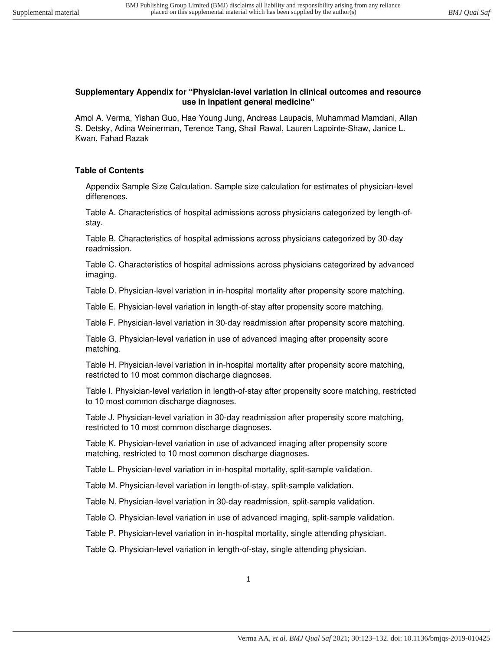### **Supplementary Appendix for "Physician-level variation in clinical outcomes and resource use in inpatient general medicine"**

Amol A. Verma, Yishan Guo, Hae Young Jung, Andreas Laupacis, Muhammad Mamdani, Allan S. Detsky, Adina Weinerman, Terence Tang, Shail Rawal, Lauren Lapointe-Shaw, Janice L. Kwan, Fahad Razak

# **Table of Contents**

Appendix Sample Size Calculation. Sample size calculation for estimates of physician-level differences.

Table A. Characteristics of hospital admissions across physicians categorized by length-ofstay.

Table B. Characteristics of hospital admissions across physicians categorized by 30-day readmission.

Table C. Characteristics of hospital admissions across physicians categorized by advanced imaging.

Table D. Physician-level variation in in-hospital mortality after propensity score matching.

Table E. Physician-level variation in length-of-stay after propensity score matching.

Table F. Physician-level variation in 30-day readmission after propensity score matching.

Table G. Physician-level variation in use of advanced imaging after propensity score matching.

Table H. Physician-level variation in in-hospital mortality after propensity score matching, restricted to 10 most common discharge diagnoses.

Table I. Physician-level variation in length-of-stay after propensity score matching, restricted to 10 most common discharge diagnoses.

Table J. Physician-level variation in 30-day readmission after propensity score matching, restricted to 10 most common discharge diagnoses.

Table K. Physician-level variation in use of advanced imaging after propensity score matching, restricted to 10 most common discharge diagnoses.

Table L. Physician-level variation in in-hospital mortality, split-sample validation.

Table M. Physician-level variation in length-of-stay, split-sample validation.

Table N. Physician-level variation in 30-day readmission, split-sample validation.

Table O. Physician-level variation in use of advanced imaging, split-sample validation.

Table P. Physician-level variation in in-hospital mortality, single attending physician.

Table Q. Physician-level variation in length-of-stay, single attending physician.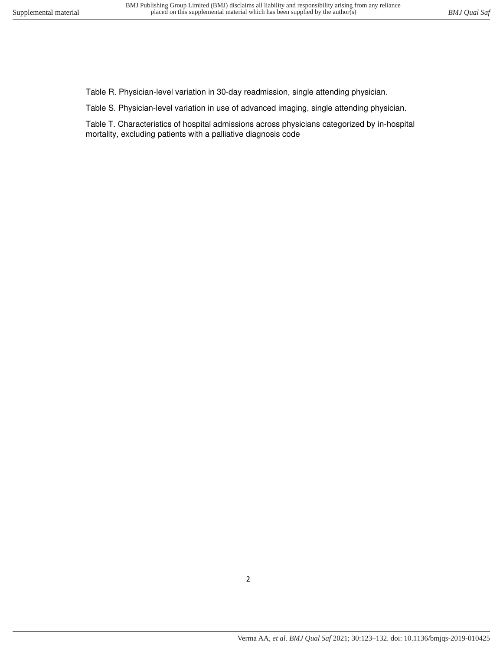Table R. Physician-level variation in 30-day readmission, single attending physician.

Table S. Physician-level variation in use of advanced imaging, single attending physician.

Table T. Characteristics of hospital admissions across physicians categorized by in-hospital mortality, excluding patients with a palliative diagnosis code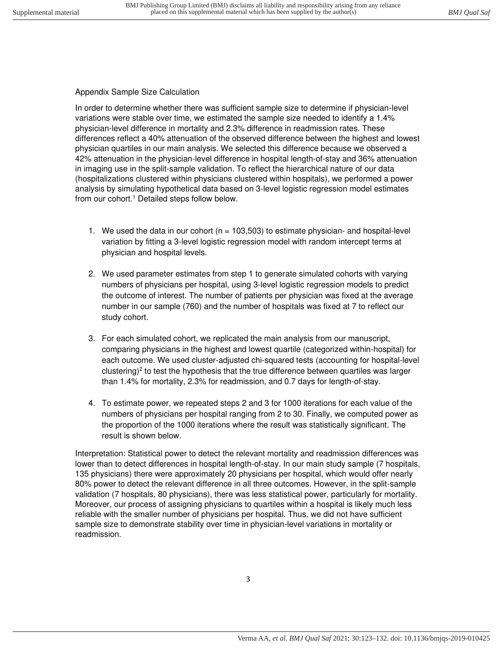### Appendix Sample Size Calculation

In order to determine whether there was sufficient sample size to determine if physician-level variations were stable over time, we estimated the sample size needed to identify a 1.4% physician-level difference in mortality and 2.3% difference in readmission rates. These differences reflect a 40% attenuation of the observed difference between the highest and lowest physician quartiles in our main analysis. We selected this difference because we observed a 42% attenuation in the physician-level difference in hospital length-of-stay and 36% attenuation in imaging use in the split-sample validation. To reflect the hierarchical nature of our data (hospitalizations clustered within physicians clustered within hospitals), we performed a power analysis by simulating hypothetical data based on 3-level logistic regression model estimates from our cohort.<sup>1</sup> Detailed steps follow below.

- 1. We used the data in our cohort ( $n = 103,503$ ) to estimate physician- and hospital-level variation by fitting a 3-level logistic regression model with random intercept terms at physician and hospital levels.
- 2. We used parameter estimates from step 1 to generate simulated cohorts with varying numbers of physicians per hospital, using 3-level logistic regression models to predict the outcome of interest. The number of patients per physician was fixed at the average number in our sample (760) and the number of hospitals was fixed at 7 to reflect our study cohort.
- 3. For each simulated cohort, we replicated the main analysis from our manuscript, comparing physicians in the highest and lowest quartile (categorized within-hospital) for each outcome. We used cluster-adjusted chi-squared tests (accounting for hospital-level clustering)<sup>2</sup> to test the hypothesis that the true difference between quartiles was larger than 1.4% for mortality, 2.3% for readmission, and 0.7 days for length-of-stay.
- 4. To estimate power, we repeated steps 2 and 3 for 1000 iterations for each value of the numbers of physicians per hospital ranging from 2 to 30. Finally, we computed power as the proportion of the 1000 iterations where the result was statistically significant. The result is shown below.

Interpretation: Statistical power to detect the relevant mortality and readmission differences was lower than to detect differences in hospital length-of-stay. In our main study sample (7 hospitals, 135 physicians) there were approximately 20 physicians per hospital, which would offer nearly 80% power to detect the relevant difference in all three outcomes. However, in the split-sample validation (7 hospitals, 80 physicians), there was less statistical power, particularly for mortality. Moreover, our process of assigning physicians to quartiles within a hospital is likely much less reliable with the smaller number of physicians per hospital. Thus, we did not have sufficient sample size to demonstrate stability over time in physician-level variations in mortality or readmission.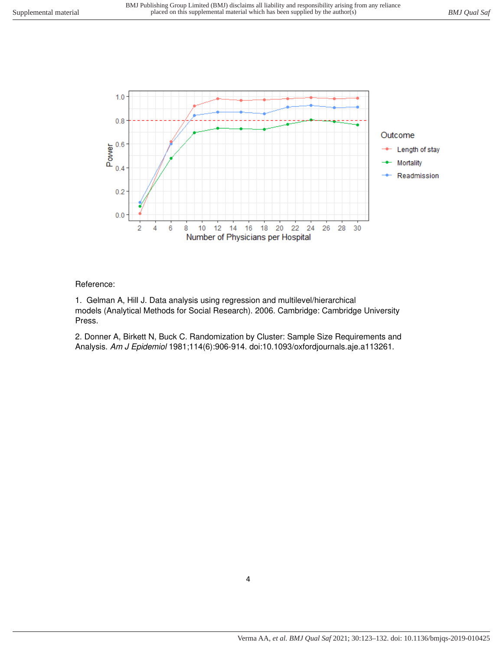

# Reference:

1. Gelman A, Hill J. Data analysis using regression and multilevel/hierarchical models (Analytical Methods for Social Research). 2006. Cambridge: Cambridge University Press.

2. Donner A, Birkett N, Buck C. Randomization by Cluster: Sample Size Requirements and Analysis. Am J Epidemiol 1981;114(6):906-914. doi:10.1093/oxfordjournals.aje.a113261.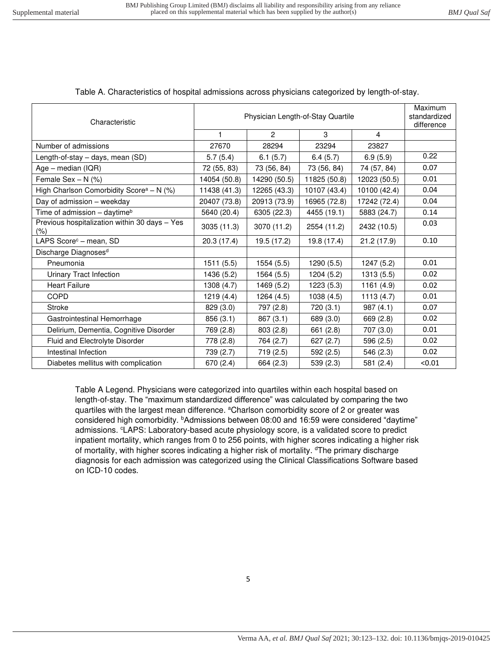# Table A. Characteristics of hospital admissions across physicians categorized by length-of-stay.

| Characteristic                                       | Physician Length-of-Stay Quartile |              |              |                | Maximum<br>standardized<br>difference |
|------------------------------------------------------|-----------------------------------|--------------|--------------|----------------|---------------------------------------|
|                                                      | $\mathbf{1}$                      | 2            | 3            | $\overline{4}$ |                                       |
| Number of admissions                                 | 27670                             | 28294        | 23294        | 23827          |                                       |
| Length-of-stay - days, mean (SD)                     | 5.7(5.4)                          | 6.1(5.7)     | 6.4(5.7)     | 6.9(5.9)       | 0.22                                  |
| Age - median (IQR)                                   | 72 (55, 83)                       | 73 (56, 84)  | 73 (56, 84)  | 74 (57, 84)    | 0.07                                  |
| Female Sex $- N$ (%)                                 | 14054 (50.8)                      | 14290 (50.5) | 11825 (50.8) | 12023 (50.5)   | 0.01                                  |
| High Charlson Comorbidity Score <sup>a</sup> - N (%) | 11438 (41.3)                      | 12265 (43.3) | 10107 (43.4) | 10100 (42.4)   | 0.04                                  |
| Day of admission - weekday                           | 20407 (73.8)                      | 20913 (73.9) | 16965 (72.8) | 17242 (72.4)   | 0.04                                  |
| Time of admission - daytime <sup>b</sup>             | 5640 (20.4)                       | 6305 (22.3)  | 4455 (19.1)  | 5883 (24.7)    | 0.14                                  |
| Previous hospitalization within 30 days - Yes<br>(%) | 3035 (11.3)                       | 3070 (11.2)  | 2554 (11.2)  | 2432 (10.5)    | 0.03                                  |
| LAPS Score <sup>c</sup> - mean, SD                   | 20.3(17.4)                        | 19.5 (17.2)  | 19.8 (17.4)  | 21.2 (17.9)    | 0.10                                  |
| Discharge Diagnoses <sup>d</sup>                     |                                   |              |              |                |                                       |
| Pneumonia                                            | 1511 (5.5)                        | 1554 (5.5)   | 1290 (5.5)   | 1247 (5.2)     | 0.01                                  |
| Urinary Tract Infection                              | 1436 (5.2)                        | 1564 (5.5)   | 1204 (5.2)   | 1313 (5.5)     | 0.02                                  |
| <b>Heart Failure</b>                                 | 1308 (4.7)                        | 1469 (5.2)   | 1223(5.3)    | 1161 (4.9)     | 0.02                                  |
| <b>COPD</b>                                          | 1219 (4.4)                        | 1264 (4.5)   | 1038(4.5)    | 1113(4.7)      | 0.01                                  |
| Stroke                                               | 829 (3.0)                         | 797 (2.8)    | 720 (3.1)    | 987(4.1)       | 0.07                                  |
| Gastrointestinal Hemorrhage                          | 856 (3.1)                         | 867 (3.1)    | 689 (3.0)    | 669 (2.8)      | 0.02                                  |
| Delirium, Dementia, Cognitive Disorder               | 769 (2.8)                         | 803(2.8)     | 661 (2.8)    | 707 (3.0)      | 0.01                                  |
| Fluid and Electrolyte Disorder                       | 778 (2.8)                         | 764 (2.7)    | 627(2.7)     | 596 (2.5)      | 0.02                                  |
| Intestinal Infection                                 | 739 (2.7)                         | 719 (2.5)    | 592(2.5)     | 546 (2.3)      | 0.02                                  |
| Diabetes mellitus with complication                  | 670 (2.4)                         | 664 (2.3)    | 539 (2.3)    | 581 (2.4)      | < 0.01                                |

Table A Legend. Physicians were categorized into quartiles within each hospital based on length-of-stay. The "maximum standardized difference" was calculated by comparing the two quartiles with the largest mean difference. <sup>a</sup>Charlson comorbidity score of 2 or greater was considered high comorbidity. <sup>b</sup>Admissions between 08:00 and 16:59 were considered "daytime" admissions. <sup>c</sup>LAPS: Laboratory-based acute physiology score, is a validated score to predict inpatient mortality, which ranges from 0 to 256 points, with higher scores indicating a higher risk of mortality, with higher scores indicating a higher risk of mortality. <sup>d</sup>The primary discharge diagnosis for each admission was categorized using the Clinical Classifications Software based on ICD-10 codes.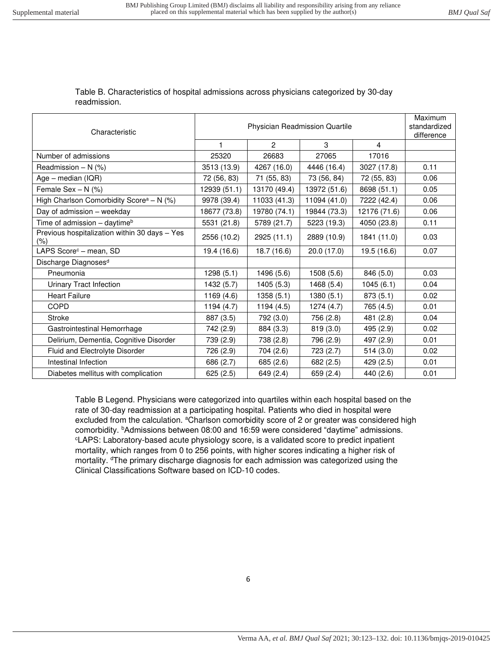# Table B. Characteristics of hospital admissions across physicians categorized by 30-day readmission.

| Characteristic                                           |              | Physician Readmission Quartile |              |              |      |
|----------------------------------------------------------|--------------|--------------------------------|--------------|--------------|------|
|                                                          | $\mathbf{1}$ | $\overline{2}$                 | 3            | 4            |      |
| Number of admissions                                     | 25320        | 26683                          | 27065        | 17016        |      |
| Readmission $- N$ (%)                                    | 3513 (13.9)  | 4267 (16.0)                    | 4446 (16.4)  | 3027 (17.8)  | 0.11 |
| $Age - median (IQR)$                                     | 72 (56, 83)  | 71 (55, 83)                    | 73 (56, 84)  | 72 (55, 83)  | 0.06 |
| Female Sex $- N$ (%)                                     | 12939 (51.1) | 13170 (49.4)                   | 13972 (51.6) | 8698 (51.1)  | 0.05 |
| High Charlson Comorbidity Score <sup>a</sup> - N (%)     | 9978 (39.4)  | 11033 (41.3)                   | 11094 (41.0) | 7222 (42.4)  | 0.06 |
| Day of admission - weekday                               | 18677 (73.8) | 19780 (74.1)                   | 19844 (73.3) | 12176 (71.6) | 0.06 |
| Time of admission - daytime <sup>b</sup>                 | 5531 (21.8)  | 5789 (21.7)                    | 5223 (19.3)  | 4050 (23.8)  | 0.11 |
| Previous hospitalization within 30 days - Yes<br>$(\% )$ | 2556 (10.2)  | 2925 (11.1)                    | 2889 (10.9)  | 1841 (11.0)  | 0.03 |
| LAPS Score <sup>c</sup> - mean, SD                       | 19.4 (16.6)  | 18.7 (16.6)                    | 20.0(17.0)   | 19.5 (16.6)  | 0.07 |
| Discharge Diagnoses <sup>d</sup>                         |              |                                |              |              |      |
| Pneumonia                                                | 1298(5.1)    | 1496 (5.6)                     | 1508 (5.6)   | 846 (5.0)    | 0.03 |
| Urinary Tract Infection                                  | 1432 (5.7)   | 1405(5.3)                      | 1468 (5.4)   | 1045(6.1)    | 0.04 |
| <b>Heart Failure</b>                                     | 1169 (4.6)   | 1358(5.1)                      | 1380 (5.1)   | 873(5.1)     | 0.02 |
| <b>COPD</b>                                              | 1194(4.7)    | 1194 (4.5)                     | 1274 (4.7)   | 765 (4.5)    | 0.01 |
| <b>Stroke</b>                                            | 887 (3.5)    | 792 (3.0)                      | 756 (2.8)    | 481 (2.8)    | 0.04 |
| Gastrointestinal Hemorrhage                              | 742 (2.9)    | 884 (3.3)                      | 819(3.0)     | 495 (2.9)    | 0.02 |
| Delirium, Dementia, Cognitive Disorder                   | 739 (2.9)    | 738 (2.8)                      | 796 (2.9)    | 497 (2.9)    | 0.01 |
| Fluid and Electrolyte Disorder                           | 726 (2.9)    | 704 (2.6)                      | 723 (2.7)    | 514(3.0)     | 0.02 |
| Intestinal Infection                                     | 686 (2.7)    | 685 (2.6)                      | 682 (2.5)    | 429 (2.5)    | 0.01 |
| Diabetes mellitus with complication                      | 625(2.5)     | 649 (2.4)                      | 659 (2.4)    | 440 (2.6)    | 0.01 |

Table B Legend. Physicians were categorized into quartiles within each hospital based on the rate of 30-day readmission at a participating hospital. Patients who died in hospital were excluded from the calculation. <sup>a</sup>Charlson comorbidity score of 2 or greater was considered high comorbidity. <sup>b</sup>Admissions between 08:00 and 16:59 were considered "daytime" admissions. <sup>c</sup>LAPS: Laboratory-based acute physiology score, is a validated score to predict inpatient mortality, which ranges from 0 to 256 points, with higher scores indicating a higher risk of mortality. <sup>d</sup>The primary discharge diagnosis for each admission was categorized using the Clinical Classifications Software based on ICD-10 codes.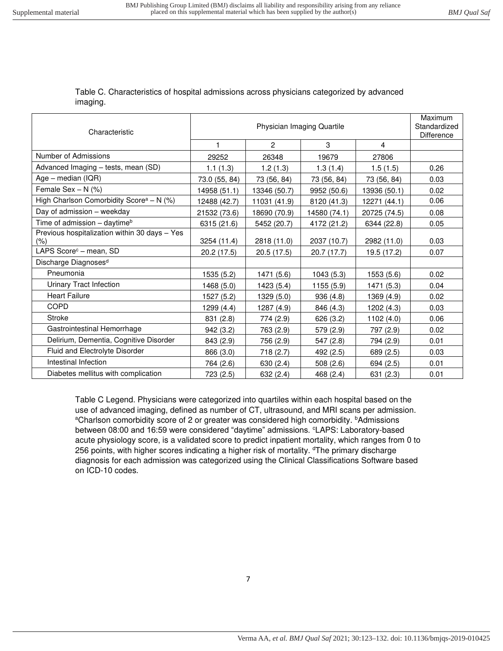### Table C. Characteristics of hospital admissions across physicians categorized by advanced imaging.

| Characteristic                                          | Physician Imaging Quartile |                |              |              | Maximum<br>Standardized<br><b>Difference</b> |
|---------------------------------------------------------|----------------------------|----------------|--------------|--------------|----------------------------------------------|
|                                                         | $\mathbf{1}$               | $\overline{2}$ | 3            | 4            |                                              |
| Number of Admissions                                    | 29252                      | 26348          | 19679        | 27806        |                                              |
| Advanced Imaging - tests, mean (SD)                     | 1.1(1.3)                   | 1.2(1.3)       | 1.3(1.4)     | 1.5(1.5)     | 0.26                                         |
| Age - median (IQR)                                      | 73.0 (55, 84)              | 73 (56, 84)    | 73 (56, 84)  | 73 (56, 84)  | 0.03                                         |
| Female Sex $- N$ (%)                                    | 14958 (51.1)               | 13346 (50.7)   | 9952 (50.6)  | 13936 (50.1) | 0.02                                         |
| High Charlson Comorbidity Score <sup>a</sup> - N $(\%)$ | 12488 (42.7)               | 11031 (41.9)   | 8120 (41.3)  | 12271 (44.1) | 0.06                                         |
| Day of admission - weekday                              | 21532 (73.6)               | 18690 (70.9)   | 14580 (74.1) | 20725 (74.5) | 0.08                                         |
| Time of admission - daytime <sup>b</sup>                | 6315(21.6)                 | 5452 (20.7)    | 4172 (21.2)  | 6344 (22.8)  | 0.05                                         |
| Previous hospitalization within 30 days - Yes<br>(% )   | 3254 (11.4)                | 2818 (11.0)    | 2037 (10.7)  | 2982 (11.0)  | 0.03                                         |
| LAPS Score <sup>c</sup> - mean, SD                      | 20.2 (17.5)                | 20.5 (17.5)    | 20.7 (17.7)  | 19.5 (17.2)  | 0.07                                         |
| Discharge Diagnoses <sup>d</sup>                        |                            |                |              |              |                                              |
| Pneumonia                                               | 1535 (5.2)                 | 1471 (5.6)     | 1043(5.3)    | 1553 (5.6)   | 0.02                                         |
| Urinary Tract Infection                                 | 1468 (5.0)                 | 1423 (5.4)     | 1155(5.9)    | 1471 (5.3)   | 0.04                                         |
| <b>Heart Failure</b>                                    | 1527 (5.2)                 | 1329 (5.0)     | 936 (4.8)    | 1369 (4.9)   | 0.02                                         |
| COPD                                                    | 1299 (4.4)                 | 1287 (4.9)     | 846 (4.3)    | 1202 (4.3)   | 0.03                                         |
| <b>Stroke</b>                                           | 831 (2.8)                  | 774 (2.9)      | 626 (3.2)    | 1102 (4.0)   | 0.06                                         |
| Gastrointestinal Hemorrhage                             | 942 (3.2)                  | 763 (2.9)      | 579 (2.9)    | 797 (2.9)    | 0.02                                         |
| Delirium, Dementia, Cognitive Disorder                  | 843 (2.9)                  | 756 (2.9)      | 547 (2.8)    | 794 (2.9)    | 0.01                                         |
| Fluid and Electrolyte Disorder                          | 866 (3.0)                  | 718 (2.7)      | 492 (2.5)    | 689 (2.5)    | 0.03                                         |
| Intestinal Infection                                    | 764 (2.6)                  | 630 (2.4)      | 508(2.6)     | 694 (2.5)    | 0.01                                         |
| Diabetes mellitus with complication                     | 723 (2.5)                  | 632 (2.4)      | 468 (2.4)    | 631 (2.3)    | 0.01                                         |

Table C Legend. Physicians were categorized into quartiles within each hospital based on the use of advanced imaging, defined as number of CT, ultrasound, and MRI scans per admission. aCharlson comorbidity score of 2 or greater was considered high comorbidity. **bAdmissions** between 08:00 and 16:59 were considered "daytime" admissions. CLAPS: Laboratory-based acute physiology score, is a validated score to predict inpatient mortality, which ranges from 0 to 256 points, with higher scores indicating a higher risk of mortality. <sup>d</sup>The primary discharge diagnosis for each admission was categorized using the Clinical Classifications Software based on ICD-10 codes.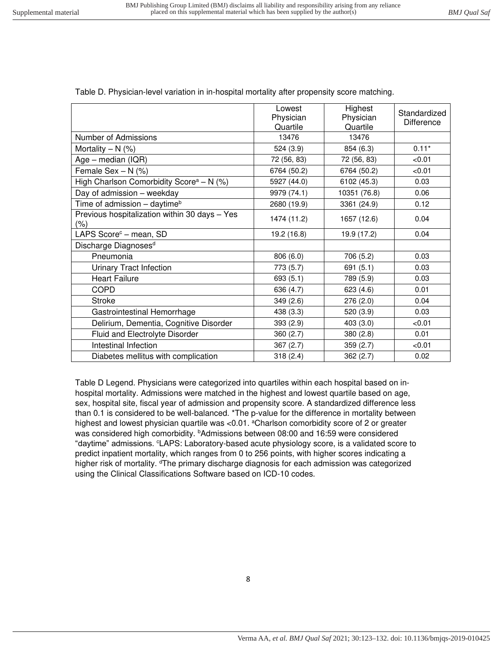|                                                          | Lowest<br>Physician<br>Quartile | Highest<br>Physician<br>Quartile | Standardized<br><b>Difference</b> |
|----------------------------------------------------------|---------------------------------|----------------------------------|-----------------------------------|
| Number of Admissions                                     | 13476                           | 13476                            |                                   |
| Mortality $- N$ (%)                                      | 524 (3.9)                       | 854 (6.3)                        | $0.11*$                           |
| $Age - median (IQR)$                                     | 72 (56, 83)                     | 72 (56, 83)                      | < 0.01                            |
| Female Sex $- N$ (%)                                     | 6764 (50.2)                     | 6764 (50.2)                      | < 0.01                            |
| High Charlson Comorbidity Score <sup>a</sup> - N (%)     | 5927 (44.0)                     | 6102 (45.3)                      | 0.03                              |
| Day of admission - weekday                               | 9979 (74.1)                     | 10351 (76.8)                     | 0.06                              |
| Time of admission - daytime <sup>b</sup>                 | 2680 (19.9)                     | 3361 (24.9)                      | 0.12                              |
| Previous hospitalization within 30 days - Yes<br>$(\% )$ | 1474 (11.2)                     | 1657 (12.6)                      | 0.04                              |
| LAPS Score <sup>c</sup> - mean, SD                       | 19.2 (16.8)                     | 19.9 (17.2)                      | 0.04                              |
| Discharge Diagnoses <sup>d</sup>                         |                                 |                                  |                                   |
| Pneumonia                                                | 806 (6.0)                       | 706 (5.2)                        | 0.03                              |
| Urinary Tract Infection                                  | 773 (5.7)                       | 691 (5.1)                        | 0.03                              |
| <b>Heart Failure</b>                                     | 693(5.1)                        | 789 (5.9)                        | 0.03                              |
| <b>COPD</b>                                              | 636 (4.7)                       | 623 (4.6)                        | 0.01                              |
| <b>Stroke</b>                                            | 349 (2.6)                       | 276(2.0)                         | 0.04                              |
| Gastrointestinal Hemorrhage                              | 438 (3.3)                       | 520 (3.9)                        | 0.03                              |
| Delirium, Dementia, Cognitive Disorder                   | 393 (2.9)                       | 403 (3.0)                        | < 0.01                            |
| Fluid and Electrolyte Disorder                           | 360(2.7)                        | 380(2.8)                         | 0.01                              |
| Intestinal Infection                                     | 367(2.7)                        | 359(2.7)                         | < 0.01                            |
| Diabetes mellitus with complication                      | 318(2.4)                        | 362 (2.7)                        | 0.02                              |

Table D. Physician-level variation in in-hospital mortality after propensity score matching.

Table D Legend. Physicians were categorized into quartiles within each hospital based on inhospital mortality. Admissions were matched in the highest and lowest quartile based on age, sex, hospital site, fiscal year of admission and propensity score. A standardized difference less than 0.1 is considered to be well-balanced. \*The p-value for the difference in mortality between highest and lowest physician quartile was <0.01. <sup>a</sup>Charlson comorbidity score of 2 or greater was considered high comorbidity. <sup>b</sup>Admissions between 08:00 and 16:59 were considered "daytime" admissions. <sup>c</sup>LAPS: Laboratory-based acute physiology score, is a validated score to predict inpatient mortality, which ranges from 0 to 256 points, with higher scores indicating a higher risk of mortality. <sup>d</sup>The primary discharge diagnosis for each admission was categorized using the Clinical Classifications Software based on ICD-10 codes.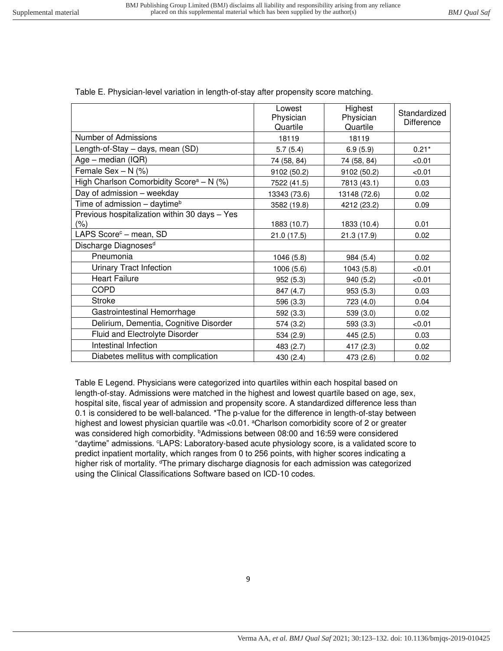|                                                      | Lowest<br>Physician<br>Quartile | Highest<br>Physician<br>Quartile | Standardized<br><b>Difference</b> |
|------------------------------------------------------|---------------------------------|----------------------------------|-----------------------------------|
| Number of Admissions                                 | 18119                           | 18119                            |                                   |
| Length-of-Stay - days, mean (SD)                     | 5.7(5.4)                        | 6.9(5.9)                         | $0.21*$                           |
| $Age - median (IQR)$                                 | 74 (58, 84)                     | 74 (58, 84)                      | < 0.01                            |
| Female Sex $- N$ (%)                                 | 9102 (50.2)                     | 9102 (50.2)                      | < 0.01                            |
| High Charlson Comorbidity Score <sup>a</sup> - N (%) | 7522 (41.5)                     | 7813 (43.1)                      | 0.03                              |
| Day of admission - weekday                           | 13343 (73.6)                    | 13148 (72.6)                     | 0.02                              |
| Time of admission - daytime <sup>b</sup>             | 3582 (19.8)                     | 4212 (23.2)                      | 0.09                              |
| Previous hospitalization within 30 days - Yes<br>(%) | 1883 (10.7)                     | 1833 (10.4)                      | 0.01                              |
| LAPS Score <sup>c</sup> - mean, SD                   | 21.0(17.5)                      | 21.3 (17.9)                      | 0.02                              |
| Discharge Diagnoses <sup>d</sup>                     |                                 |                                  |                                   |
| Pneumonia                                            | 1046 (5.8)                      | 984 (5.4)                        | 0.02                              |
| <b>Urinary Tract Infection</b>                       | 1006 (5.6)                      | 1043 (5.8)                       | < 0.01                            |
| <b>Heart Failure</b>                                 | 952(5.3)                        | 940 (5.2)                        | < 0.01                            |
| <b>COPD</b>                                          | 847 (4.7)                       | 953 (5.3)                        | 0.03                              |
| <b>Stroke</b>                                        | 596 (3.3)                       | 723 (4.0)                        | 0.04                              |
| Gastrointestinal Hemorrhage                          | 592 (3.3)                       | 539 (3.0)                        | 0.02                              |
| Delirium, Dementia, Cognitive Disorder               | 574 (3.2)                       | 593 (3.3)                        | < 0.01                            |
| Fluid and Electrolyte Disorder                       | 534 (2.9)                       | 445 (2.5)                        | 0.03                              |
| Intestinal Infection                                 | 483 (2.7)                       | 417 $(2.3)$                      | 0.02                              |
| Diabetes mellitus with complication                  | 430 (2.4)                       | 473 (2.6)                        | 0.02                              |

Table E. Physician-level variation in length-of-stay after propensity score matching.

Table E Legend. Physicians were categorized into quartiles within each hospital based on length-of-stay. Admissions were matched in the highest and lowest quartile based on age, sex, hospital site, fiscal year of admission and propensity score. A standardized difference less than 0.1 is considered to be well-balanced. \*The p-value for the difference in length-of-stay between highest and lowest physician quartile was <0.01. <sup>a</sup>Charlson comorbidity score of 2 or greater was considered high comorbidity. <sup>b</sup>Admissions between 08:00 and 16:59 were considered "daytime" admissions. <sup>c</sup>LAPS: Laboratory-based acute physiology score, is a validated score to predict inpatient mortality, which ranges from 0 to 256 points, with higher scores indicating a higher risk of mortality. <sup>d</sup>The primary discharge diagnosis for each admission was categorized using the Clinical Classifications Software based on ICD-10 codes.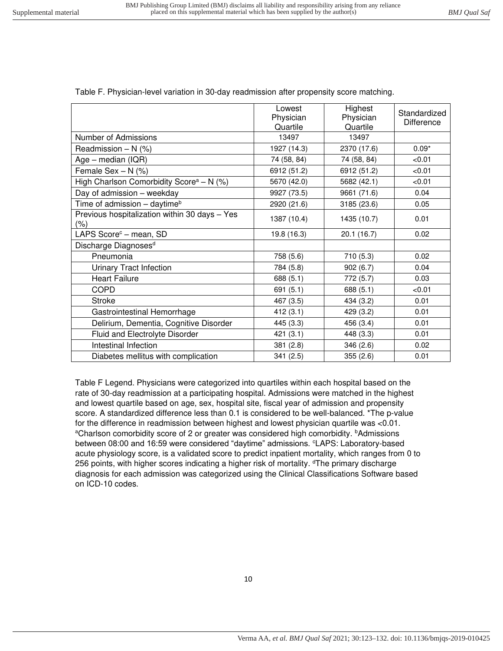|                                                      | Lowest<br>Physician<br>Quartile | Highest<br>Physician<br>Quartile | Standardized<br>Difference |
|------------------------------------------------------|---------------------------------|----------------------------------|----------------------------|
| Number of Admissions                                 | 13497                           | 13497                            |                            |
| Readmission $- N$ (%)                                | 1927 (14.3)                     | 2370 (17.6)                      | $0.09*$                    |
| $Age - median (IQR)$                                 | 74 (58, 84)                     | 74 (58, 84)                      | < 0.01                     |
| Female Sex - N (%)                                   | 6912 (51.2)                     | 6912 (51.2)                      | < 0.01                     |
| High Charlson Comorbidity Score <sup>a</sup> - N (%) | 5670 (42.0)                     | 5682 (42.1)                      | < 0.01                     |
| Day of admission - weekday                           | 9927 (73.5)                     | 9661 (71.6)                      | 0.04                       |
| Time of admission - daytime <sup>b</sup>             | 2920 (21.6)                     | 3185 (23.6)                      | 0.05                       |
| Previous hospitalization within 30 days - Yes<br>(%) | 1387 (10.4)                     | 1435 (10.7)                      | 0.01                       |
| LAPS Score <sup>c</sup> - mean, SD                   | 19.8 (16.3)                     | 20.1(16.7)                       | 0.02                       |
| Discharge Diagnoses <sup>d</sup>                     |                                 |                                  |                            |
| Pneumonia                                            | 758 (5.6)                       | 710(5.3)                         | 0.02                       |
| Urinary Tract Infection                              | 784 (5.8)                       | 902(6.7)                         | 0.04                       |
| <b>Heart Failure</b>                                 | 688 (5.1)                       | 772 (5.7)                        | 0.03                       |
| <b>COPD</b>                                          | 691 (5.1)                       | 688 (5.1)                        | < 0.01                     |
| <b>Stroke</b>                                        | 467 (3.5)                       | 434 (3.2)                        | 0.01                       |
| Gastrointestinal Hemorrhage                          | 412(3.1)                        | 429 (3.2)                        | 0.01                       |
| Delirium, Dementia, Cognitive Disorder               | 445 (3.3)                       | 456 (3.4)                        | 0.01                       |
| Fluid and Electrolyte Disorder                       | 421 (3.1)                       | 448 (3.3)                        | 0.01                       |
| Intestinal Infection                                 | 381(2.8)                        | 346(2.6)                         | 0.02                       |
| Diabetes mellitus with complication                  | 341 (2.5)                       | 355(2.6)                         | 0.01                       |

Table F. Physician-level variation in 30-day readmission after propensity score matching.

Table F Legend. Physicians were categorized into quartiles within each hospital based on the rate of 30-day readmission at a participating hospital. Admissions were matched in the highest and lowest quartile based on age, sex, hospital site, fiscal year of admission and propensity score. A standardized difference less than 0.1 is considered to be well-balanced. \*The p-value for the difference in readmission between highest and lowest physician quartile was <0.01. aCharlson comorbidity score of 2 or greater was considered high comorbidity. **bAdmissions** between 08:00 and 16:59 were considered "daytime" admissions. <sup>c</sup>LAPS: Laboratory-based acute physiology score, is a validated score to predict inpatient mortality, which ranges from 0 to 256 points, with higher scores indicating a higher risk of mortality. <sup>d</sup>The primary discharge diagnosis for each admission was categorized using the Clinical Classifications Software based on ICD-10 codes.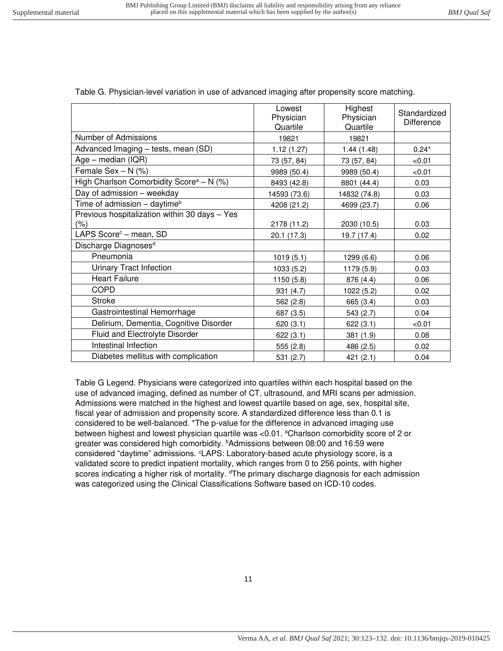|                                                          | Lowest<br>Physician<br>Quartile | Highest<br>Physician<br>Quartile | Standardized<br><b>Difference</b> |
|----------------------------------------------------------|---------------------------------|----------------------------------|-----------------------------------|
| Number of Admissions                                     | 19821                           | 19821                            |                                   |
| Advanced Imaging - tests, mean (SD)                      | 1.12(1.27)                      | 1.44(1.48)                       | $0.24*$                           |
| $Age - median (IQR)$                                     | 73 (57, 84)                     | 73 (57, 84)                      | < 0.01                            |
| Female Sex $- N$ (%)                                     | 9989 (50.4)                     | 9989 (50.4)                      | < 0.01                            |
| High Charlson Comorbidity Score <sup>a</sup> - N $(%)$   | 8493 (42.8)                     | 8801 (44.4)                      | 0.03                              |
| Day of admission - weekday                               | 14593 (73.6)                    | 14832 (74.8)                     | 0.03                              |
| Time of admission $-$ daytime <sup>b</sup>               | 4208 (21.2)                     | 4699 (23.7)                      | 0.06                              |
| Previous hospitalization within 30 days - Yes<br>$(\% )$ | 2178 (11.2)                     | 2030 (10.5)                      | 0.03                              |
| LAPS Score <sup>c</sup> - mean, SD                       | 20.1 (17.3)                     | 19.7 (17.4)                      | 0.02                              |
| Discharge Diagnoses <sup>d</sup>                         |                                 |                                  |                                   |
| Pneumonia                                                | 1019(5.1)                       | 1299 (6.6)                       | 0.06                              |
| Urinary Tract Infection                                  | 1033 (5.2)                      | 1179 (5.9)                       | 0.03                              |
| <b>Heart Failure</b>                                     | 1150 (5.8)                      | 876 (4.4)                        | 0.06                              |
| <b>COPD</b>                                              | 931 (4.7)                       | 1022 (5.2)                       | 0.02                              |
| <b>Stroke</b>                                            | 562 (2.8)                       | 665 (3.4)                        | 0.03                              |
| Gastrointestinal Hemorrhage                              | 687 (3.5)                       | 543 (2.7)                        | 0.04                              |
| Delirium, Dementia, Cognitive Disorder                   | 620(3.1)                        | 622(3.1)                         | < 0.01                            |
| Fluid and Electrolyte Disorder                           | 622(3.1)                        | 381 (1.9)                        | 0.08                              |
| Intestinal Infection                                     | 555 (2.8)                       | 486 (2.5)                        | 0.02                              |
| Diabetes mellitus with complication                      | 531 (2.7)                       | 421 (2.1)                        | 0.04                              |

Table G. Physician-level variation in use of advanced imaging after propensity score matching.

Table G Legend. Physicians were categorized into quartiles within each hospital based on the use of advanced imaging, defined as number of CT, ultrasound, and MRI scans per admission. Admissions were matched in the highest and lowest quartile based on age, sex, hospital site, fiscal year of admission and propensity score. A standardized difference less than 0.1 is considered to be well-balanced. \*The p-value for the difference in advanced imaging use between highest and lowest physician quartile was <0.01. <sup>a</sup>Charlson comorbidity score of 2 or greater was considered high comorbidity. *bAdmissions between 08:00 and 16:59 were* considered "daytime" admissions. <sup>c</sup>LAPS: Laboratory-based acute physiology score, is a validated score to predict inpatient mortality, which ranges from 0 to 256 points, with higher scores indicating a higher risk of mortality. <sup>d</sup>The primary discharge diagnosis for each admission was categorized using the Clinical Classifications Software based on ICD-10 codes.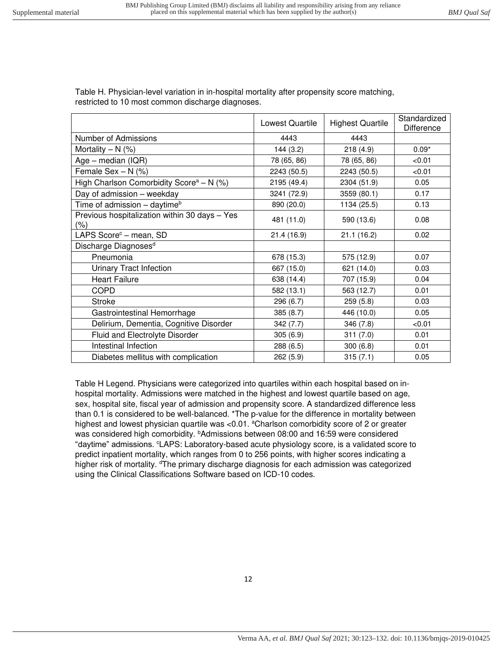Table H. Physician-level variation in in-hospital mortality after propensity score matching, restricted to 10 most common discharge diagnoses.

|                                                         | Lowest Quartile | <b>Highest Quartile</b> | Standardized<br><b>Difference</b> |
|---------------------------------------------------------|-----------------|-------------------------|-----------------------------------|
| Number of Admissions                                    | 4443            | 4443                    |                                   |
| Mortality $- N$ (%)                                     | 144(3.2)        | 218(4.9)                | $0.09*$                           |
| Age - median (IQR)                                      | 78 (65, 86)     | 78 (65, 86)             | < 0.01                            |
| Female Sex $- N$ (%)                                    | 2243 (50.5)     | 2243 (50.5)             | < 0.01                            |
| High Charlson Comorbidity Score <sup>a</sup> - N $(\%)$ | 2195 (49.4)     | 2304 (51.9)             | 0.05                              |
| Day of admission - weekday                              | 3241 (72.9)     | 3559 (80.1)             | 0.17                              |
| Time of admission - daytime <sup>b</sup>                | 890 (20.0)      | 1134 (25.5)             | 0.13                              |
| Previous hospitalization within 30 days - Yes<br>(%)    | 481 (11.0)      | 590 (13.6)              | 0.08                              |
| LAPS Score <sup>c</sup> – mean, SD                      | 21.4 (16.9)     | 21.1(16.2)              | 0.02                              |
| Discharge Diagnoses <sup>d</sup>                        |                 |                         |                                   |
| Pneumonia                                               | 678 (15.3)      | 575 (12.9)              | 0.07                              |
| Urinary Tract Infection                                 | 667 (15.0)      | 621 (14.0)              | 0.03                              |
| <b>Heart Failure</b>                                    | 638 (14.4)      | 707 (15.9)              | 0.04                              |
| <b>COPD</b>                                             | 582 (13.1)      | 563 (12.7)              | 0.01                              |
| <b>Stroke</b>                                           | 296 (6.7)       | 259(5.8)                | 0.03                              |
| Gastrointestinal Hemorrhage                             | 385 (8.7)       | 446 (10.0)              | 0.05                              |
| Delirium, Dementia, Cognitive Disorder                  | 342(7.7)        | 346 (7.8)               | < 0.01                            |
| <b>Fluid and Electrolyte Disorder</b>                   | 305(6.9)        | 311(7.0)                | 0.01                              |
| Intestinal Infection                                    | 288 (6.5)       | 300(6.8)                | 0.01                              |
| Diabetes mellitus with complication                     | 262(5.9)        | 315(7.1)                | 0.05                              |

Table H Legend. Physicians were categorized into quartiles within each hospital based on inhospital mortality. Admissions were matched in the highest and lowest quartile based on age, sex, hospital site, fiscal year of admission and propensity score. A standardized difference less than 0.1 is considered to be well-balanced. \*The p-value for the difference in mortality between highest and lowest physician quartile was <0.01. <sup>a</sup>Charlson comorbidity score of 2 or greater was considered high comorbidity. *PAdmissions between 08:00 and 16:59 were considered* "daytime" admissions. <sup>c</sup>LAPS: Laboratory-based acute physiology score, is a validated score to predict inpatient mortality, which ranges from 0 to 256 points, with higher scores indicating a higher risk of mortality. <sup>d</sup>The primary discharge diagnosis for each admission was categorized using the Clinical Classifications Software based on ICD-10 codes.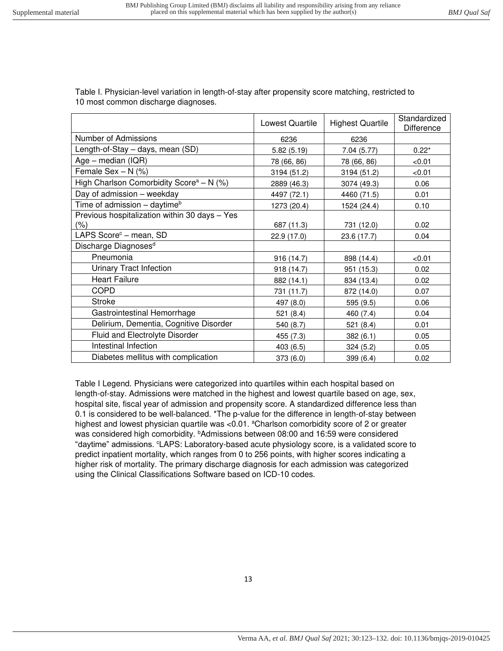| Table I. Physician-level variation in length-of-stay after propensity score matching, restricted to<br>10 most common discharge diagnoses. |                        |                         |                            |
|--------------------------------------------------------------------------------------------------------------------------------------------|------------------------|-------------------------|----------------------------|
|                                                                                                                                            | <b>Lowest Quartile</b> | <b>Highest Quartile</b> | Standardized<br>Difference |

| LUWESI QUAHIIE | <b>Highest Quartile</b> | Difference |
|----------------|-------------------------|------------|
| 6236           | 6236                    |            |
| 5.82(5.19)     | 7.04(5.77)              | $0.22*$    |
| 78 (66, 86)    | 78 (66, 86)             | < 0.01     |
| 3194 (51.2)    | 3194 (51.2)             | < 0.01     |
| 2889 (46.3)    | 3074 (49.3)             | 0.06       |
| 4497 (72.1)    | 4460 (71.5)             | 0.01       |
| 1273 (20.4)    | 1524 (24.4)             | 0.10       |
|                |                         | 0.02       |
| 22.9 (17.0)    | 23.6 (17.7)             | 0.04       |
|                |                         |            |
| 916 (14.7)     | 898 (14.4)              | < 0.01     |
| 918(14.7)      | 951 (15.3)              | 0.02       |
| 882 (14.1)     | 834 (13.4)              | 0.02       |
| 731 (11.7)     | 872 (14.0)              | 0.07       |
| 497 (8.0)      | 595 (9.5)               | 0.06       |
| 521(8.4)       | 460 (7.4)               | 0.04       |
| 540 (8.7)      | 521 (8.4)               | 0.01       |
| 455 (7.3)      | 382(6.1)                | 0.05       |
| 403 (6.5)      | 324(5.2)                | 0.05       |
| 373 (6.0)      | 399 (6.4)               | 0.02       |
|                | 687 (11.3)              | 731 (12.0) |

Table I Legend. Physicians were categorized into quartiles within each hospital based on length-of-stay. Admissions were matched in the highest and lowest quartile based on age, sex, hospital site, fiscal year of admission and propensity score. A standardized difference less than 0.1 is considered to be well-balanced. \*The p-value for the difference in length-of-stay between highest and lowest physician quartile was <0.01. <sup>a</sup>Charlson comorbidity score of 2 or greater was considered high comorbidity. *b***Admissions between 08:00 and 16:59 were considered** "daytime" admissions. <sup>c</sup>LAPS: Laboratory-based acute physiology score, is a validated score to predict inpatient mortality, which ranges from 0 to 256 points, with higher scores indicating a higher risk of mortality. The primary discharge diagnosis for each admission was categorized using the Clinical Classifications Software based on ICD-10 codes.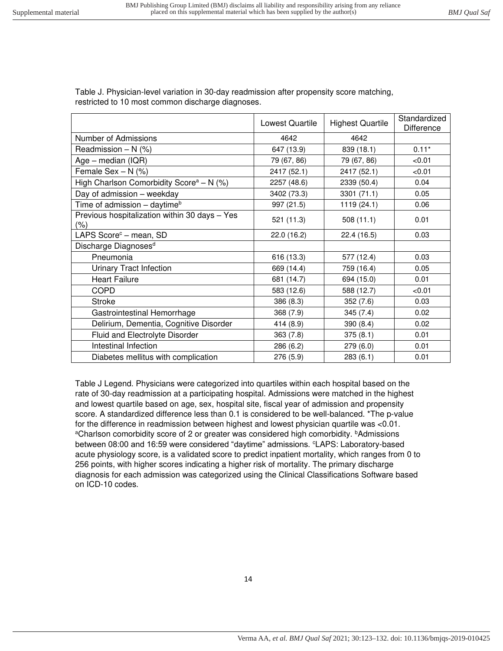Table J. Physician-level variation in 30-day readmission after propensity score matching, restricted to 10 most common discharge diagnoses.

|                                                          | <b>Lowest Quartile</b> | <b>Highest Quartile</b> | Standardized<br><b>Difference</b> |
|----------------------------------------------------------|------------------------|-------------------------|-----------------------------------|
| Number of Admissions                                     | 4642                   | 4642                    |                                   |
| Readmission $- N$ (%)                                    | 647 (13.9)             | 839 (18.1)              | $0.11*$                           |
| Age – median $( IQR)$                                    | 79 (67, 86)            | 79 (67, 86)             | < 0.01                            |
| Female Sex $- N$ (%)                                     | 2417 (52.1)            | 2417 (52.1)             | < 0.01                            |
| High Charlson Comorbidity Score <sup>a</sup> – N $(\%)$  | 2257 (48.6)            | 2339 (50.4)             | 0.04                              |
| Day of admission - weekday                               | 3402 (73.3)            | 3301 (71.1)             | 0.05                              |
| Time of admission - daytime <sup>b</sup>                 | 997 (21.5)             | 1119 (24.1)             | 0.06                              |
| Previous hospitalization within 30 days - Yes<br>$(\% )$ | 521 (11.3)             | 508(11.1)               | 0.01                              |
| LAPS Score <sup>c</sup> - mean, SD                       | 22.0 (16.2)            | 22.4 (16.5)             | 0.03                              |
| Discharge Diagnoses <sup>d</sup>                         |                        |                         |                                   |
| Pneumonia                                                | 616 (13.3)             | 577 (12.4)              | 0.03                              |
| <b>Urinary Tract Infection</b>                           | 669 (14.4)             | 759 (16.4)              | 0.05                              |
| <b>Heart Failure</b>                                     | 681 (14.7)             | 694 (15.0)              | 0.01                              |
| <b>COPD</b>                                              | 583 (12.6)             | 588 (12.7)              | < 0.01                            |
| <b>Stroke</b>                                            | 386 (8.3)              | 352(7.6)                | 0.03                              |
| Gastrointestinal Hemorrhage                              | 368 (7.9)              | 345(7.4)                | 0.02                              |
| Delirium, Dementia, Cognitive Disorder                   | 414 (8.9)              | 390(8.4)                | 0.02                              |
| <b>Fluid and Electrolyte Disorder</b>                    | 363(7.8)               | 375(8.1)                | 0.01                              |
| Intestinal Infection                                     | 286 (6.2)              | 279(6.0)                | 0.01                              |
| Diabetes mellitus with complication                      | 276 (5.9)              | 283(6.1)                | 0.01                              |

Table J Legend. Physicians were categorized into quartiles within each hospital based on the rate of 30-day readmission at a participating hospital. Admissions were matched in the highest and lowest quartile based on age, sex, hospital site, fiscal year of admission and propensity score. A standardized difference less than 0.1 is considered to be well-balanced. \*The p-value for the difference in readmission between highest and lowest physician quartile was <0.01. <sup>a</sup>Charlson comorbidity score of 2 or greater was considered high comorbidity. *bAdmissions* between 08:00 and 16:59 were considered "daytime" admissions. <sup>c</sup>LAPS: Laboratory-based acute physiology score, is a validated score to predict inpatient mortality, which ranges from 0 to 256 points, with higher scores indicating a higher risk of mortality. The primary discharge diagnosis for each admission was categorized using the Clinical Classifications Software based on ICD-10 codes.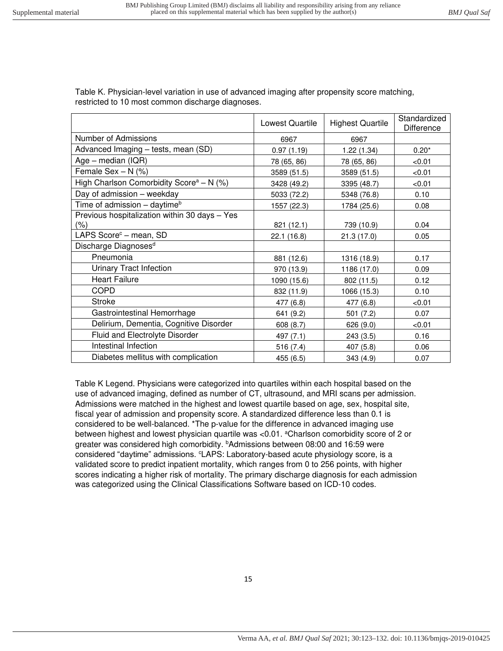Table K. Physician-level variation in use of advanced imaging after propensity score matching, restricted to 10 most common discharge diagnoses.

|                                                         | Lowest Quartile | <b>Highest Quartile</b> | Standardized<br>Difference |
|---------------------------------------------------------|-----------------|-------------------------|----------------------------|
| Number of Admissions                                    | 6967            | 6967                    |                            |
| Advanced Imaging - tests, mean (SD)                     | 0.97(1.19)      | 1.22(1.34)              | $0.20*$                    |
| Age - median (IQR)                                      | 78 (65, 86)     | 78 (65, 86)             | < 0.01                     |
| Female Sex $- N$ (%)                                    | 3589 (51.5)     | 3589 (51.5)             | < 0.01                     |
| High Charlson Comorbidity Score <sup>a</sup> – N $(\%)$ | 3428 (49.2)     | 3395 (48.7)             | < 0.01                     |
| Day of admission - weekday                              | 5033 (72.2)     | 5348 (76.8)             | 0.10                       |
| Time of admission - daytime <sup>b</sup>                | 1557 (22.3)     | 1784 (25.6)             | 0.08                       |
| Previous hospitalization within 30 days - Yes           |                 |                         |                            |
| $(\% )$                                                 | 821 (12.1)      | 739 (10.9)              | 0.04                       |
| LAPS Score <sup>c</sup> – mean, SD                      | 22.1 (16.8)     | 21.3(17.0)              | 0.05                       |
| Discharge Diagnoses <sup>d</sup>                        |                 |                         |                            |
| Pneumonia                                               | 881 (12.6)      | 1316 (18.9)             | 0.17                       |
| <b>Urinary Tract Infection</b>                          | 970 (13.9)      | 1186 (17.0)             | 0.09                       |
| <b>Heart Failure</b>                                    | 1090 (15.6)     | 802 (11.5)              | 0.12                       |
| <b>COPD</b>                                             | 832 (11.9)      | 1066 (15.3)             | 0.10                       |
| <b>Stroke</b>                                           | 477 (6.8)       | 477 (6.8)               | < 0.01                     |
| Gastrointestinal Hemorrhage                             | 641 (9.2)       | 501 (7.2)               | 0.07                       |
| Delirium, Dementia, Cognitive Disorder                  | 608 (8.7)       | 626 (9.0)               | < 0.01                     |
| Fluid and Electrolyte Disorder                          | 497 (7.1)       | 243(3.5)                | 0.16                       |
| Intestinal Infection                                    | 516 (7.4)       | 407 (5.8)               | 0.06                       |
| Diabetes mellitus with complication                     | 455 (6.5)       | 343 (4.9)               | 0.07                       |

Table K Legend. Physicians were categorized into quartiles within each hospital based on the use of advanced imaging, defined as number of CT, ultrasound, and MRI scans per admission. Admissions were matched in the highest and lowest quartile based on age, sex, hospital site, fiscal year of admission and propensity score. A standardized difference less than 0.1 is considered to be well-balanced. \*The p-value for the difference in advanced imaging use between highest and lowest physician quartile was <0.01. <sup>a</sup>Charlson comorbidity score of 2 or greater was considered high comorbidity. **bAdmissions between 08:00 and 16:59 were** considered "daytime" admissions. <sup>c</sup>LAPS: Laboratory-based acute physiology score, is a validated score to predict inpatient mortality, which ranges from 0 to 256 points, with higher scores indicating a higher risk of mortality. The primary discharge diagnosis for each admission was categorized using the Clinical Classifications Software based on ICD-10 codes.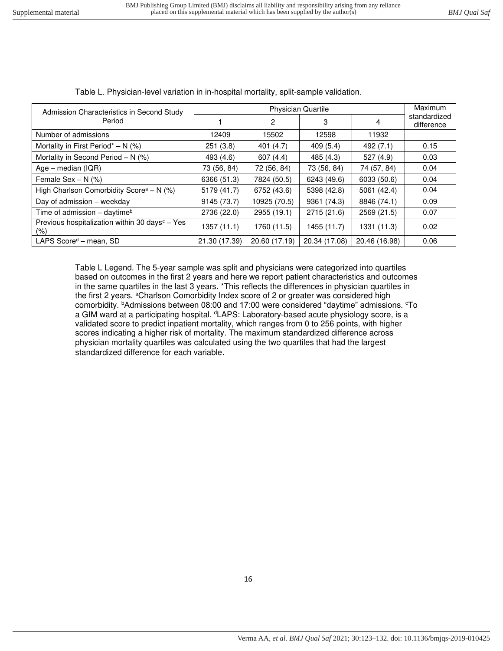| Admission Characteristics in Second Study                         |               | Maximum       |               |               |                            |
|-------------------------------------------------------------------|---------------|---------------|---------------|---------------|----------------------------|
| Period                                                            |               | 2             | 3             | 4             | standardized<br>difference |
| Number of admissions                                              | 12409         | 15502         | 12598         | 11932         |                            |
| Mortality in First Period <sup>*</sup> – N $(%)$                  | 251(3.8)      | 401 (4.7)     | 409(5.4)      | 492(7.1)      | 0.15                       |
| Mortality in Second Period $- N$ (%)                              | 493 (4.6)     | 607(4.4)      | 485 (4.3)     | 527(4.9)      | 0.03                       |
| Age – median $(IQR)$                                              | 73 (56, 84)   | 72 (56, 84)   | 73 (56, 84)   | 74 (57, 84)   | 0.04                       |
| Female Sex $- N$ (%)                                              | 6366 (51.3)   | 7824 (50.5)   | 6243 (49.6)   | 6033 (50.6)   | 0.04                       |
| High Charlson Comorbidity Score <sup>a</sup> - N $(\%)$           | 5179 (41.7)   | 6752 (43.6)   | 5398 (42.8)   | 5061 (42.4)   | 0.04                       |
| Day of admission - weekday                                        | 9145 (73.7)   | 10925 (70.5)  | 9361 (74.3)   | 8846 (74.1)   | 0.09                       |
| Time of admission - daytime <sup>b</sup>                          | 2736 (22.0)   | 2955 (19.1)   | 2715 (21.6)   | 2569 (21.5)   | 0.07                       |
| Previous hospitalization within 30 days <sup>c</sup> - Yes<br>(%) | 1357 (11.1)   | 1760 (11.5)   | 1455 (11.7)   | 1331 (11.3)   | 0.02                       |
| LAPS Score <sup>d</sup> – mean, SD                                | 21.30 (17.39) | 20.60 (17.19) | 20.34 (17.08) | 20.46 (16.98) | 0.06                       |

Table L. Physician-level variation in in-hospital mortality, split-sample validation.

Table L Legend. The 5-year sample was split and physicians were categorized into quartiles based on outcomes in the first 2 years and here we report patient characteristics and outcomes in the same quartiles in the last 3 years. \*This reflects the differences in physician quartiles in the first 2 years. <sup>a</sup>Charlson Comorbidity Index score of 2 or greater was considered high comorbidity. <sup>b</sup>Admissions between 08:00 and 17:00 were considered "daytime" admissions. <sup>c</sup>To a GIM ward at a participating hospital. <sup>d</sup>LAPS: Laboratory-based acute physiology score, is a validated score to predict inpatient mortality, which ranges from 0 to 256 points, with higher scores indicating a higher risk of mortality. The maximum standardized difference across physician mortality quartiles was calculated using the two quartiles that had the largest standardized difference for each variable.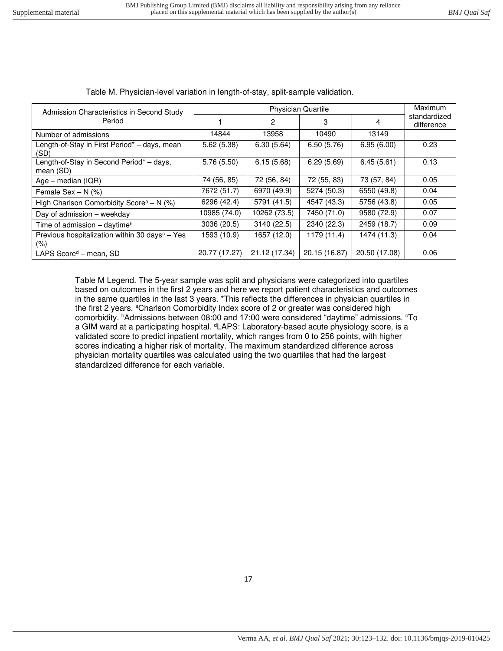| Admission Characteristics in Second Study                             |               | <b>Physician Quartile</b> |               |               |                            |  |  |
|-----------------------------------------------------------------------|---------------|---------------------------|---------------|---------------|----------------------------|--|--|
| Period                                                                |               | 2                         | 3             | 4             | standardized<br>difference |  |  |
| Number of admissions                                                  | 14844         | 13958                     | 10490         | 13149         |                            |  |  |
| Length-of-Stay in First Period* - days, mean<br>(SD)                  | 5.62(5.38)    | 6.30(5.64)                | 6.50(5.76)    | 6.95(6.00)    | 0.23                       |  |  |
| Length-of-Stay in Second Period* - days,<br>mean (SD)                 | 5.76(5.50)    | 6.15(5.68)                | 6.29(5.69)    | 6.45(5.61)    | 0.13                       |  |  |
| Age - median (IQR)                                                    | 74 (56, 85)   | 72 (56, 84)               | 72 (55, 83)   | 73 (57, 84)   | 0.05                       |  |  |
| Female Sex $- N$ (%)                                                  | 7672 (51.7)   | 6970 (49.9)               | 5274 (50.3)   | 6550 (49.8)   | 0.04                       |  |  |
| High Charlson Comorbidity Score <sup>a</sup> - N (%)                  | 6296 (42.4)   | 5791 (41.5)               | 4547 (43.3)   | 5756 (43.8)   | 0.05                       |  |  |
| Day of admission - weekday                                            | 10985 (74.0)  | 10262 (73.5)              | 7450 (71.0)   | 9580 (72.9)   | 0.07                       |  |  |
| Time of admission – daytime <sup>b</sup>                              | 3036 (20.5)   | 3140 (22.5)               | 2340 (22.3)   | 2459 (18.7)   | 0.09                       |  |  |
| Previous hospitalization within 30 days <sup>c</sup> - Yes<br>$(\% )$ | 1593 (10.9)   | 1657 (12.0)               | 1179 (11.4)   | 1474 (11.3)   | 0.04                       |  |  |
| LAPS Score <sup>d</sup> – mean, SD                                    | 20.77 (17.27) | 21.12 (17.34)             | 20.15 (16.87) | 20.50 (17.08) | 0.06                       |  |  |

Table M. Physician-level variation in length-of-stay, split-sample validation.

Table M Legend. The 5-year sample was split and physicians were categorized into quartiles based on outcomes in the first 2 years and here we report patient characteristics and outcomes in the same quartiles in the last 3 years. \*This reflects the differences in physician quartiles in the first 2 years. <sup>a</sup>Charlson Comorbidity Index score of 2 or greater was considered high comorbidity. <sup>b</sup>Admissions between 08:00 and 17:00 were considered "daytime" admissions. <sup>c</sup>To a GIM ward at a participating hospital. <sup>d</sup>LAPS: Laboratory-based acute physiology score, is a validated score to predict inpatient mortality, which ranges from 0 to 256 points, with higher scores indicating a higher risk of mortality. The maximum standardized difference across physician mortality quartiles was calculated using the two quartiles that had the largest standardized difference for each variable.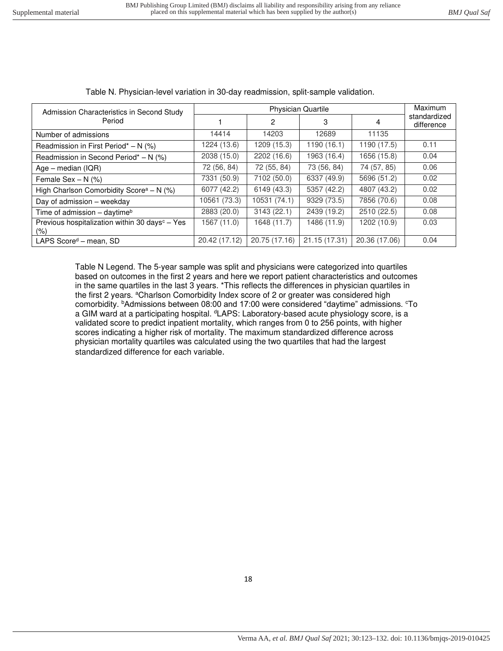| Admission Characteristics in Second Study                         |               | Maximum       |               |               |                            |
|-------------------------------------------------------------------|---------------|---------------|---------------|---------------|----------------------------|
| Period                                                            |               | 2             | 3             | 4             | standardized<br>difference |
| Number of admissions                                              | 14414         | 14203         | 12689         | 11135         |                            |
| Readmission in First Period* $- N$ (%)                            | 1224 (13.6)   | 1209 (15.3)   | 1190 (16.1)   | 1190 (17.5)   | 0.11                       |
| Readmission in Second Period* - N (%)                             | 2038 (15.0)   | 2202 (16.6)   | 1963 (16.4)   | 1656 (15.8)   | 0.04                       |
| Age – median $(IQR)$                                              | 72 (56, 84)   | 72 (55, 84)   | 73 (56, 84)   | 74 (57, 85)   | 0.06                       |
| Female Sex $- N$ (%)                                              | 7331 (50.9)   | 7102 (50.0)   | 6337 (49.9)   | 5696 (51.2)   | 0.02                       |
| High Charlson Comorbidity Score <sup>a</sup> - N $(\%)$           | 6077 (42.2)   | 6149 (43.3)   | 5357 (42.2)   | 4807 (43.2)   | 0.02                       |
| Day of admission - weekday                                        | 10561 (73.3)  | 10531 (74.1)  | 9329 (73.5)   | 7856 (70.6)   | 0.08                       |
| Time of admission - daytime <sup>b</sup>                          | 2883 (20.0)   | 3143(22.1)    | 2439 (19.2)   | 2510 (22.5)   | 0.08                       |
| Previous hospitalization within 30 days <sup>c</sup> – Yes<br>(%) | 1567 (11.0)   | 1648 (11.7)   | 1486 (11.9)   | 1202 (10.9)   | 0.03                       |
| LAPS Score <sup>d</sup> – mean, SD                                | 20.42 (17.12) | 20.75 (17.16) | 21.15 (17.31) | 20.36 (17.06) | 0.04                       |

Table N. Physician-level variation in 30-day readmission, split-sample validation.

Table N Legend. The 5-year sample was split and physicians were categorized into quartiles based on outcomes in the first 2 years and here we report patient characteristics and outcomes in the same quartiles in the last 3 years. \*This reflects the differences in physician quartiles in the first 2 years. <sup>a</sup>Charlson Comorbidity Index score of 2 or greater was considered high comorbidity. **bAdmissions between 08:00 and 17:00 were considered "daytime" admissions.** <sup>c</sup>To a GIM ward at a participating hospital. <sup>d</sup>LAPS: Laboratory-based acute physiology score, is a validated score to predict inpatient mortality, which ranges from 0 to 256 points, with higher scores indicating a higher risk of mortality. The maximum standardized difference across physician mortality quartiles was calculated using the two quartiles that had the largest standardized difference for each variable.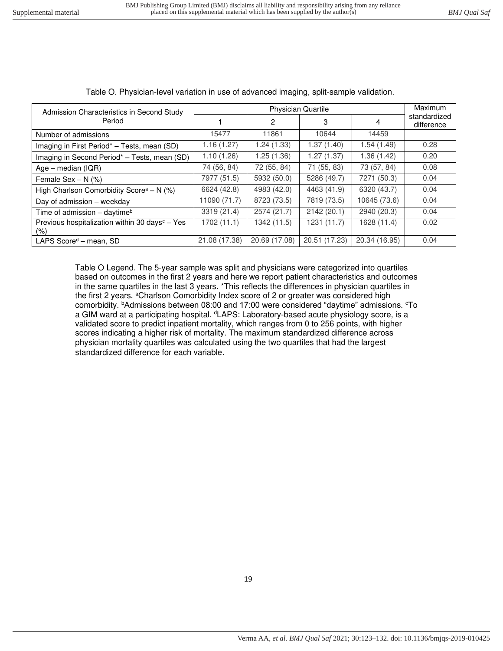| Admission Characteristics in Second Study                             |               | Maximum        |               |               |                            |
|-----------------------------------------------------------------------|---------------|----------------|---------------|---------------|----------------------------|
| Period                                                                |               | $\overline{2}$ | 3             | 4             | standardized<br>difference |
| Number of admissions                                                  | 15477         | 11861          | 10644         | 14459         |                            |
| Imaging in First Period* - Tests, mean (SD)                           | 1.16 (1.27)   | 1.24 (1.33)    | 1.37(1.40)    | 1.54(1.49)    | 0.28                       |
| Imaging in Second Period* - Tests, mean (SD)                          | 1.10 (1.26)   | 1.25 (1.36)    | 1.27(1.37)    | 1.36 (1.42)   | 0.20                       |
| Age – median $(IQR)$                                                  | 74 (56, 84)   | 72 (55, 84)    | 71 (55, 83)   | 73 (57, 84)   | 0.08                       |
| Female Sex $- N$ (%)                                                  | 7977 (51.5)   | 5932 (50.0)    | 5286 (49.7)   | 7271 (50.3)   | 0.04                       |
| High Charlson Comorbidity Score <sup>a</sup> - N (%)                  | 6624 (42.8)   | 4983 (42.0)    | 4463 (41.9)   | 6320 (43.7)   | 0.04                       |
| Day of admission - weekday                                            | 11090 (71.7)  | 8723 (73.5)    | 7819 (73.5)   | 10645 (73.6)  | 0.04                       |
| Time of admission - daytime <sup>b</sup>                              | 3319 (21.4)   | 2574 (21.7)    | 2142 (20.1)   | 2940 (20.3)   | 0.04                       |
| Previous hospitalization within 30 days <sup>c</sup> – Yes<br>$(\% )$ | 1702(11.1)    | 1342 (11.5)    | 1231(11.7)    | 1628 (11.4)   | 0.02                       |
| LAPS Score <sup>d</sup> - mean, SD                                    | 21.08 (17.38) | 20.69 (17.08)  | 20.51 (17.23) | 20.34 (16.95) | 0.04                       |

Table O. Physician-level variation in use of advanced imaging, split-sample validation.

Table O Legend. The 5-year sample was split and physicians were categorized into quartiles based on outcomes in the first 2 years and here we report patient characteristics and outcomes in the same quartiles in the last 3 years. \*This reflects the differences in physician quartiles in the first 2 years. <sup>a</sup>Charlson Comorbidity Index score of 2 or greater was considered high comorbidity. <sup>b</sup>Admissions between 08:00 and 17:00 were considered "daytime" admissions. <sup>c</sup>To a GIM ward at a participating hospital. <sup>d</sup>LAPS: Laboratory-based acute physiology score, is a validated score to predict inpatient mortality, which ranges from 0 to 256 points, with higher scores indicating a higher risk of mortality. The maximum standardized difference across physician mortality quartiles was calculated using the two quartiles that had the largest standardized difference for each variable.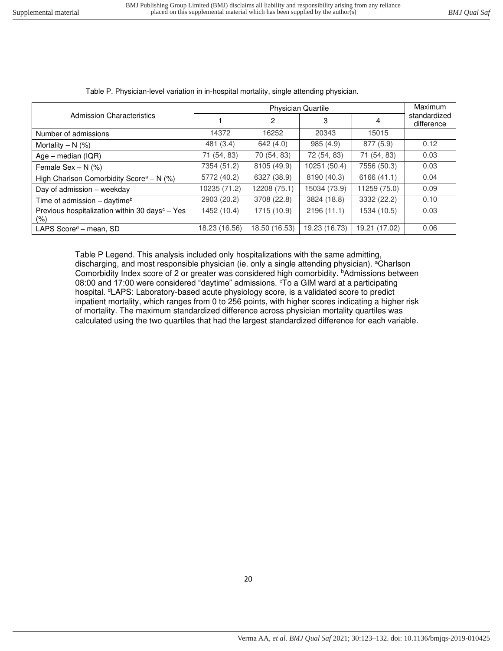|                                                                    |               | <b>Physician Quartile</b> |               |               |                            |  |  |
|--------------------------------------------------------------------|---------------|---------------------------|---------------|---------------|----------------------------|--|--|
| <b>Admission Characteristics</b>                                   |               | $\mathbf{2}$              | 3             | 4             | standardized<br>difference |  |  |
| Number of admissions                                               | 14372         | 16252                     | 20343         | 15015         |                            |  |  |
| Mortality $- N$ (%)                                                | 481 (3.4)     | 642(4.0)                  | 985(4.9)      | 877 (5.9)     | 0.12                       |  |  |
| Age – median $( IQR)$                                              | 71 (54, 83)   | 70 (54, 83)               | 72 (54, 83)   | 71 (54, 83)   | 0.03                       |  |  |
| Female Sex $- N$ (%)                                               | 7354 (51.2)   | 8105 (49.9)               | 10251 (50.4)  | 7556 (50.3)   | 0.03                       |  |  |
| High Charlson Comorbidity Score <sup>a</sup> - N $(\%)$            | 5772 (40.2)   | 6327 (38.9)               | 8190 (40.3)   | 6166 (41.1)   | 0.04                       |  |  |
| Day of admission - weekday                                         | 10235 (71.2)  | 12208 (75.1)              | 15034 (73.9)  | 11259 (75.0)  | 0.09                       |  |  |
| Time of admission - daytime <sup>b</sup>                           | 2903 (20.2)   | 3708 (22.8)               | 3824 (18.8)   | 3332 (22.2)   | 0.10                       |  |  |
| Previous hospitalization within 30 days <sup>c</sup> - Yes<br>(% ) | 1452 (10.4)   | 1715 (10.9)               | 2196(11.1)    | 1534 (10.5)   | 0.03                       |  |  |
| LAPS Score <sup>d</sup> – mean, SD                                 | 18.23 (16.56) | 18.50 (16.53)             | 19.23 (16.73) | 19.21 (17.02) | 0.06                       |  |  |

Table P. Physician-level variation in in-hospital mortality, single attending physician.

Table P Legend. This analysis included only hospitalizations with the same admitting, discharging, and most responsible physician (ie. only a single attending physician). <sup>a</sup>Charlson Comorbidity Index score of 2 or greater was considered high comorbidity. *bAdmissions between* 08:00 and 17:00 were considered "daytime" admissions. To a GIM ward at a participating hospital. <sup>d</sup>LAPS: Laboratory-based acute physiology score, is a validated score to predict inpatient mortality, which ranges from 0 to 256 points, with higher scores indicating a higher risk of mortality. The maximum standardized difference across physician mortality quartiles was calculated using the two quartiles that had the largest standardized difference for each variable.

20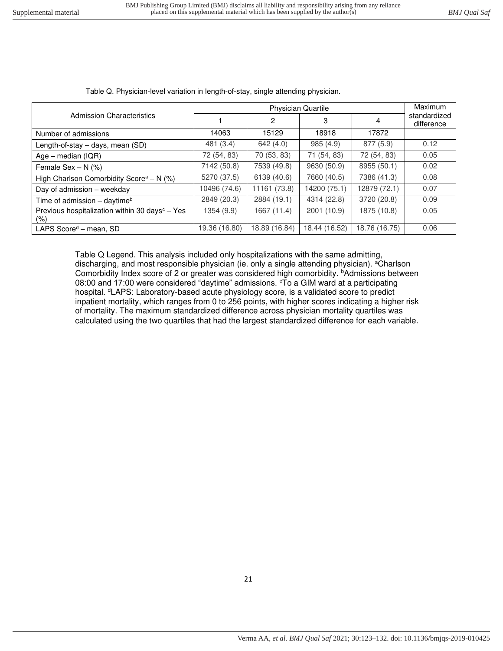|                                                                   |               | <b>Maximum</b> |               |               |                            |
|-------------------------------------------------------------------|---------------|----------------|---------------|---------------|----------------------------|
| <b>Admission Characteristics</b>                                  |               | $\mathbf{2}$   | 3             | 4             | standardized<br>difference |
| Number of admissions                                              | 14063         | 15129          | 18918         | 17872         |                            |
| Length-of-stay - days, mean (SD)                                  | 481 (3.4)     | 642(4.0)       | 985(4.9)      | 877 (5.9)     | 0.12                       |
| $Age - median (IQR)$                                              | 72 (54, 83)   | 70 (53, 83)    | 71 (54, 83)   | 72 (54, 83)   | 0.05                       |
| Female Sex $- N$ (%)                                              | 7142 (50.8)   | 7539 (49.8)    | 9630 (50.9)   | 8955 (50.1)   | 0.02                       |
| High Charlson Comorbidity Score <sup>a</sup> - N $(\%)$           | 5270 (37.5)   | 6139 (40.6)    | 7660 (40.5)   | 7386 (41.3)   | 0.08                       |
| Day of admission - weekday                                        | 10496 (74.6)  | 11161 (73.8)   | 14200 (75.1)  | 12879 (72.1)  | 0.07                       |
| Time of admission - daytime <sup>b</sup>                          | 2849 (20.3)   | 2884 (19.1)    | 4314 (22.8)   | 3720 (20.8)   | 0.09                       |
| Previous hospitalization within 30 days <sup>c</sup> - Yes<br>(%) | 1354 (9.9)    | 1667 (11.4)    | 2001 (10.9)   | 1875 (10.8)   | 0.05                       |
| LAPS $Scored - mean$ , SD                                         | 19.36 (16.80) | 18.89 (16.84)  | 18.44 (16.52) | 18.76 (16.75) | 0.06                       |

Table Q. Physician-level variation in length-of-stay, single attending physician.

Table Q Legend. This analysis included only hospitalizations with the same admitting, discharging, and most responsible physician (ie. only a single attending physician). <sup>a</sup>Charlson Comorbidity Index score of 2 or greater was considered high comorbidity. *bAdmissions between* 08:00 and 17:00 were considered "daytime" admissions. To a GIM ward at a participating hospital. <sup>d</sup>LAPS: Laboratory-based acute physiology score, is a validated score to predict inpatient mortality, which ranges from 0 to 256 points, with higher scores indicating a higher risk of mortality. The maximum standardized difference across physician mortality quartiles was calculated using the two quartiles that had the largest standardized difference for each variable.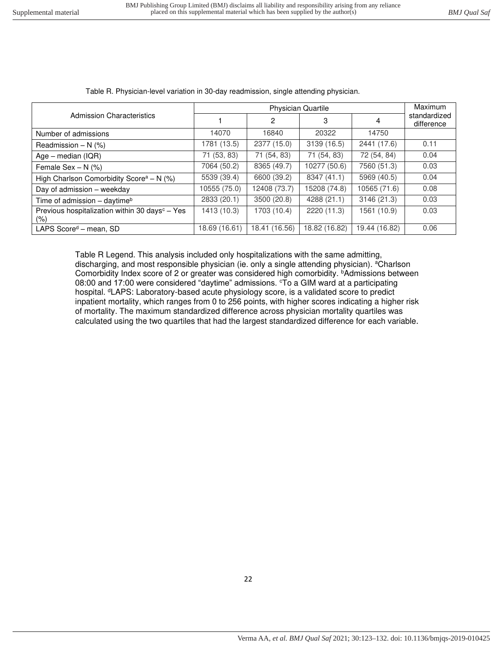|                                                                    |               | <b>Maximum</b> |               |               |                            |
|--------------------------------------------------------------------|---------------|----------------|---------------|---------------|----------------------------|
| Admission Characteristics                                          |               | $\mathbf{2}$   | 3             | 4             | standardized<br>difference |
| Number of admissions                                               | 14070         | 16840          | 20322         | 14750         |                            |
| Readmission $- N$ (%)                                              | 1781 (13.5)   | 2377 (15.0)    | 3139 (16.5)   | 2441 (17.6)   | 0.11                       |
| $Age - median (IQR)$                                               | 71 (53, 83)   | 71 (54, 83)    | 71 (54, 83)   | 72 (54, 84)   | 0.04                       |
| Female Sex $- N$ (%)                                               | 7064 (50.2)   | 8365 (49.7)    | 10277 (50.6)  | 7560 (51.3)   | 0.03                       |
| High Charlson Comorbidity Score <sup>a</sup> - N (%)               | 5539 (39.4)   | 6600 (39.2)    | 8347 (41.1)   | 5969 (40.5)   | 0.04                       |
| Day of admission - weekday                                         | 10555 (75.0)  | 12408 (73.7)   | 15208 (74.8)  | 10565 (71.6)  | 0.08                       |
| Time of admission - daytime <sup>b</sup>                           | 2833 (20.1)   | 3500 (20.8)    | 4288 (21.1)   | 3146 (21.3)   | 0.03                       |
| Previous hospitalization within 30 days <sup>c</sup> - Yes<br>(% ) | 1413 (10.3)   | 1703 (10.4)    | 2220 (11.3)   | 1561 (10.9)   | 0.03                       |
| LAPS Score <sup>d</sup> - mean, SD                                 | 18.69 (16.61) | 18.41 (16.56)  | 18.82 (16.82) | 19.44 (16.82) | 0.06                       |

Table R. Physician-level variation in 30-day readmission, single attending physician.

Table R Legend. This analysis included only hospitalizations with the same admitting, discharging, and most responsible physician (ie. only a single attending physician). <sup>a</sup>Charlson Comorbidity Index score of 2 or greater was considered high comorbidity. *bAdmissions between* 08:00 and 17:00 were considered "daytime" admissions.  $c$ To a GIM ward at a participating hospital. <sup>d</sup>LAPS: Laboratory-based acute physiology score, is a validated score to predict inpatient mortality, which ranges from 0 to 256 points, with higher scores indicating a higher risk of mortality. The maximum standardized difference across physician mortality quartiles was calculated using the two quartiles that had the largest standardized difference for each variable.

22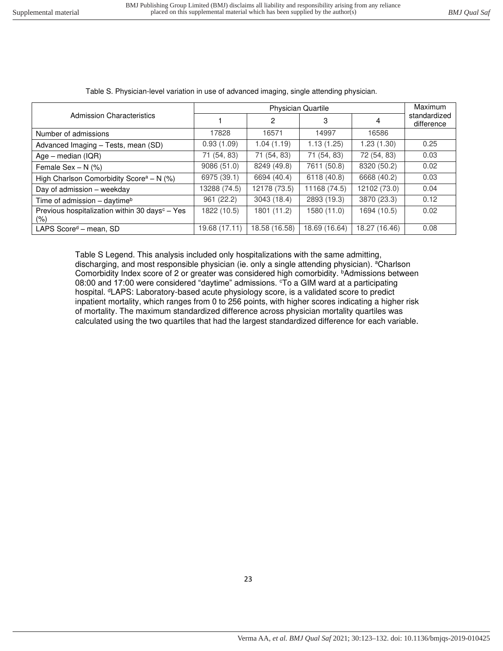|                                                                   |               | Maximum        |               |               |                            |
|-------------------------------------------------------------------|---------------|----------------|---------------|---------------|----------------------------|
| Admission Characteristics                                         |               | $\overline{2}$ | 3             | 4             | standardized<br>difference |
| Number of admissions                                              | 17828         | 16571          | 14997         | 16586         |                            |
| Advanced Imaging - Tests, mean (SD)                               | 0.93(1.09)    | 1.04(1.19)     | 1.13(1.25)    | 1.23 (1.30)   | 0.25                       |
| $Age - median (IQR)$                                              | 71 (54, 83)   | 71 (54, 83)    | 71 (54, 83)   | 72 (54, 83)   | 0.03                       |
| Female Sex $- N$ (%)                                              | 9086 (51.0)   | 8249 (49.8)    | 7611 (50.8)   | 8320 (50.2)   | 0.02                       |
| High Charlson Comorbidity Score <sup>a</sup> - N (%)              | 6975 (39.1)   | 6694 (40.4)    | 6118 (40.8)   | 6668 (40.2)   | 0.03                       |
| Day of admission - weekday                                        | 13288 (74.5)  | 12178 (73.5)   | 11168 (74.5)  | 12102 (73.0)  | 0.04                       |
| Time of admission - daytime <sup>b</sup>                          | 961 (22.2)    | 3043 (18.4)    | 2893 (19.3)   | 3870 (23.3)   | 0.12                       |
| Previous hospitalization within 30 days <sup>c</sup> - Yes<br>(%) | 1822 (10.5)   | 1801 (11.2)    | 1580 (11.0)   | 1694 (10.5)   | 0.02                       |
| LAPS Score <sup>d</sup> - mean, SD                                | 19.68 (17.11) | 18.58 (16.58)  | 18.69 (16.64) | 18.27 (16.46) | 0.08                       |

Table S. Physician-level variation in use of advanced imaging, single attending physician.

Table S Legend. This analysis included only hospitalizations with the same admitting, discharging, and most responsible physician (ie. only a single attending physician). <sup>a</sup>Charlson Comorbidity Index score of 2 or greater was considered high comorbidity. *bAdmissions between* 08:00 and 17:00 were considered "daytime" admissions.  $c$ To a GIM ward at a participating hospital. <sup>d</sup>LAPS: Laboratory-based acute physiology score, is a validated score to predict inpatient mortality, which ranges from 0 to 256 points, with higher scores indicating a higher risk of mortality. The maximum standardized difference across physician mortality quartiles was calculated using the two quartiles that had the largest standardized difference for each variable.